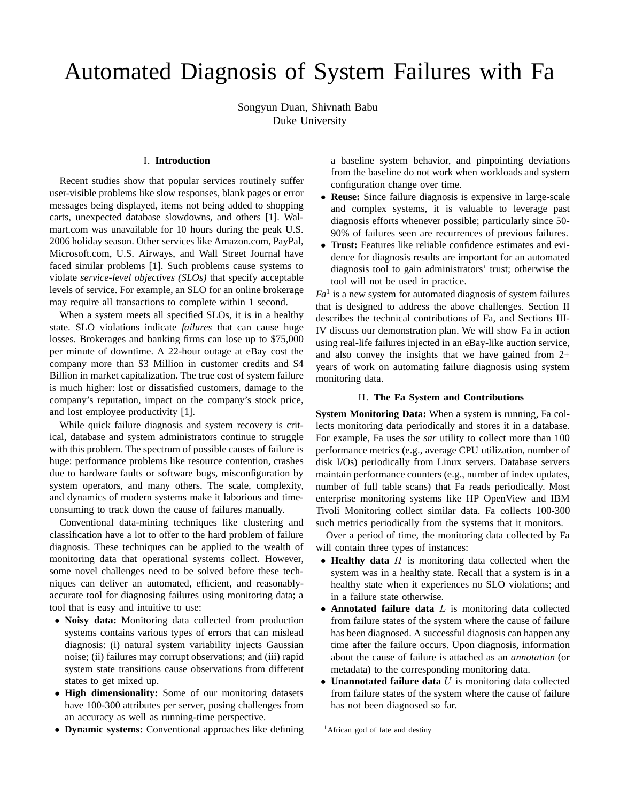# Automated Diagnosis of System Failures with Fa

Songyun Duan, Shivnath Babu Duke University

# I. **Introduction**

Recent studies show that popular services routinely suffer user-visible problems like slow responses, blank pages or error messages being displayed, items not being added to shopping carts, unexpected database slowdowns, and others [1]. Walmart.com was unavailable for 10 hours during the peak U.S. 2006 holiday season. Other services like Amazon.com, PayPal, Microsoft.com, U.S. Airways, and Wall Street Journal have faced similar problems [1]. Such problems cause systems to violate *service-level objectives (SLOs)* that specify acceptable levels of service. For example, an SLO for an online brokerage may require all transactions to complete within 1 second.

When a system meets all specified SLOs, it is in a healthy state. SLO violations indicate *failures* that can cause huge losses. Brokerages and banking firms can lose up to \$75,000 per minute of downtime. A 22-hour outage at eBay cost the company more than \$3 Million in customer credits and \$4 Billion in market capitalization. The true cost of system failure is much higher: lost or dissatisfied customers, damage to the company's reputation, impact on the company's stock price, and lost employee productivity [1].

While quick failure diagnosis and system recovery is critical, database and system administrators continue to struggle with this problem. The spectrum of possible causes of failure is huge: performance problems like resource contention, crashes due to hardware faults or software bugs, misconfiguration by system operators, and many others. The scale, complexity, and dynamics of modern systems make it laborious and timeconsuming to track down the cause of failures manually.

Conventional data-mining techniques like clustering and classification have a lot to offer to the hard problem of failure diagnosis. These techniques can be applied to the wealth of monitoring data that operational systems collect. However, some novel challenges need to be solved before these techniques can deliver an automated, efficient, and reasonablyaccurate tool for diagnosing failures using monitoring data; a tool that is easy and intuitive to use:

- **Noisy data:** Monitoring data collected from production systems contains various types of errors that can mislead diagnosis: (i) natural system variability injects Gaussian noise; (ii) failures may corrupt observations; and (iii) rapid system state transitions cause observations from different states to get mixed up.
- **High dimensionality:** Some of our monitoring datasets have 100-300 attributes per server, posing challenges from an accuracy as well as running-time perspective.
- **Dynamic systems:** Conventional approaches like defining

a baseline system behavior, and pinpointing deviations from the baseline do not work when workloads and system configuration change over time.

- **Reuse:** Since failure diagnosis is expensive in large-scale and complex systems, it is valuable to leverage past diagnosis efforts whenever possible; particularly since 50- 90% of failures seen are recurrences of previous failures.
- **Trust:** Features like reliable confidence estimates and evidence for diagnosis results are important for an automated diagnosis tool to gain administrators' trust; otherwise the tool will not be used in practice.

 $Fa$ <sup>1</sup> is a new system for automated diagnosis of system failures that is designed to address the above challenges. Section II describes the technical contributions of Fa, and Sections III-IV discuss our demonstration plan. We will show Fa in action using real-life failures injected in an eBay-like auction service, and also convey the insights that we have gained from 2+ years of work on automating failure diagnosis using system monitoring data.

### II. **The Fa System and Contributions**

**System Monitoring Data:** When a system is running, Fa collects monitoring data periodically and stores it in a database. For example, Fa uses the *sar* utility to collect more than 100 performance metrics (e.g., average CPU utilization, number of disk I/Os) periodically from Linux servers. Database servers maintain performance counters (e.g., number of index updates, number of full table scans) that Fa reads periodically. Most enterprise monitoring systems like HP OpenView and IBM Tivoli Monitoring collect similar data. Fa collects 100-300 such metrics periodically from the systems that it monitors.

Over a period of time, the monitoring data collected by Fa will contain three types of instances:

- **Healthy data** H is monitoring data collected when the system was in a healthy state. Recall that a system is in a healthy state when it experiences no SLO violations; and in a failure state otherwise.
- **Annotated failure data** L is monitoring data collected from failure states of the system where the cause of failure has been diagnosed. A successful diagnosis can happen any time after the failure occurs. Upon diagnosis, information about the cause of failure is attached as an *annotation* (or metadata) to the corresponding monitoring data.
- **Unannotated failure data** U is monitoring data collected from failure states of the system where the cause of failure has not been diagnosed so far.

<sup>&</sup>lt;sup>1</sup>African god of fate and destiny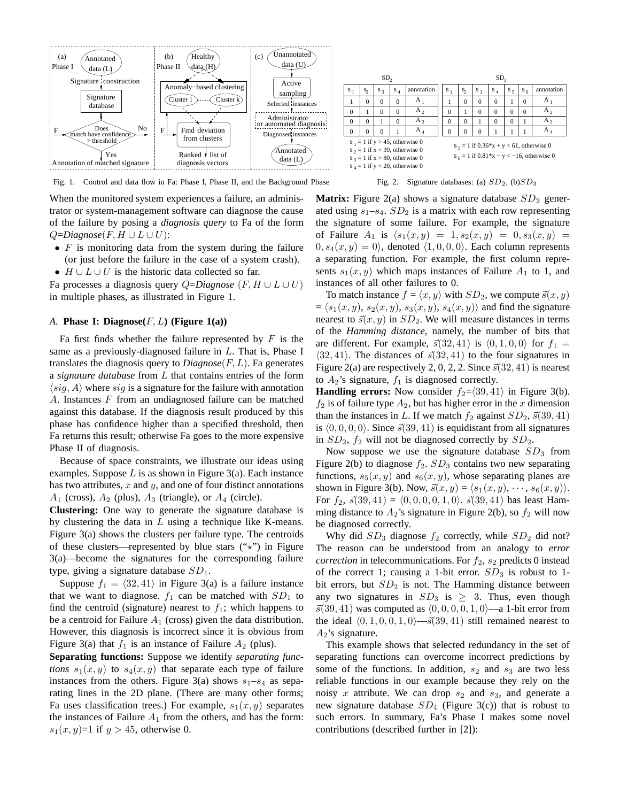

Fig. 1. Control and data flow in Fa: Phase I, Phase II, and the Background Phase Fig. 2. Signature databases: (a)  $SD_2$ , (b) $SD_3$ 

When the monitored system experiences a failure, an administrator or system-management software can diagnose the cause of the failure by posing a *diagnosis query* to Fa of the form  $Q = Diagnose(F, H \cup L \cup U)$ :

- $F$  is monitoring data from the system during the failure (or just before the failure in the case of a system crash).
- $H \cup L \cup U$  is the historic data collected so far.

Fa processes a diagnosis query Q=*Diagnose* (F, H ∪ L ∪ U) in multiple phases, as illustrated in Figure 1.

## *A.* **Phase I: Diagnose** $(F, L)$  **(Figure 1(a))**

Fa first finds whether the failure represented by  $F$  is the same as a previously-diagnosed failure in  $L$ . That is, Phase I translates the diagnosis query to *Diagnose*(F,L). Fa generates a *signature database* from L that contains entries of the form  $\langle sig, A \rangle$  where  $sig$  is a signature for the failure with annotation A. Instances  $F$  from an undiagnosed failure can be matched against this database. If the diagnosis result produced by this phase has confidence higher than a specified threshold, then Fa returns this result; otherwise Fa goes to the more expensive Phase II of diagnosis.

Because of space constraints, we illustrate our ideas using examples. Suppose  $L$  is as shown in Figure 3(a). Each instance has two attributes,  $x$  and  $y$ , and one of four distinct annotations  $A_1$  (cross),  $A_2$  (plus),  $A_3$  (triangle), or  $A_4$  (circle).

**Clustering:** One way to generate the signature database is by clustering the data in  $L$  using a technique like K-means. Figure 3(a) shows the clusters per failure type. The centroids of these clusters—represented by blue stars  $(\forall x)$  in Figure 3(a)—become the signatures for the corresponding failure type, giving a signature database  $SD<sub>1</sub>$ .

Suppose  $f_1 = \langle 32, 41 \rangle$  in Figure 3(a) is a failure instance that we want to diagnose.  $f_1$  can be matched with  $SD_1$  to find the centroid (signature) nearest to  $f_1$ ; which happens to be a centroid for Failure  $A_1$  (cross) given the data distribution. However, this diagnosis is incorrect since it is obvious from Figure 3(a) that  $f_1$  is an instance of Failure  $A_2$  (plus).

**Separating functions:** Suppose we identify *separating functions*  $s_1(x, y)$  to  $s_4(x, y)$  that separate each type of failure instances from the others. Figure 3(a) shows  $s_1-s_4$  as separating lines in the 2D plane. (There are many other forms; Fa uses classification trees.) For example,  $s_1(x, y)$  separates the instances of Failure  $A_1$  from the others, and has the form:  $s_1(x, y)=1$  if  $y > 45$ , otherwise 0.

**Matrix:** Figure 2(a) shows a signature database  $SD_2$  generated using  $s_1-s_4$ .  $SD_2$  is a matrix with each row representing the signature of some failure. For example, the signature of Failure  $A_1$  is  $\langle s_1(x, y) = 1, s_2(x, y) = 0, s_3(x, y) =$  $0, s_4(x, y) = 0$ , denoted  $\langle 1, 0, 0, 0 \rangle$ . Each column represents a separating function. For example, the first column represents  $s_1(x, y)$  which maps instances of Failure  $A_1$  to 1, and instances of all other failures to 0.

To match instance  $f = \langle x, y \rangle$  with  $SD_2$ , we compute  $\vec{s}(x, y)$  $= \langle s_1(x, y), s_2(x, y), s_3(x, y), s_4(x, y) \rangle$  and find the signature nearest to  $\vec{s}(x, y)$  in  $SD_2$ . We will measure distances in terms of the *Hamming distance*, namely, the number of bits that are different. For example,  $\vec{s}(32, 41)$  is  $\langle 0, 1, 0, 0 \rangle$  for  $f_1 =$  $\langle 32, 41 \rangle$ . The distances of  $\vec{s}(32, 41)$  to the four signatures in Figure 2(a) are respectively 2, 0, 2, 2. Since  $\vec{s}(32, 41)$  is nearest to  $A_2$ 's signature,  $f_1$  is diagnosed correctly.

**Handling errors:** Now consider  $f_2 = \langle 39, 41 \rangle$  in Figure 3(b).  $f_2$  is of failure type  $A_2$ , but has higher error in the x dimension than the instances in L. If we match  $f_2$  against  $SD_2$ ,  $\vec{s}(39, 41)$ is  $(0, 0, 0, 0)$ . Since  $\vec{s}(39, 41)$  is equidistant from all signatures in  $SD_2$ ,  $f_2$  will not be diagnosed correctly by  $SD_2$ .

Now suppose we use the signature database  $SD<sub>3</sub>$  from Figure 2(b) to diagnose  $f_2$ .  $SD_3$  contains two new separating functions,  $s_5(x, y)$  and  $s_6(x, y)$ , whose separating planes are shown in Figure 3(b). Now,  $\vec{s}(x, y) = \langle s_1(x, y), \dots, s_6(x, y) \rangle$ . For  $f_2$ ,  $\vec{s}(39, 41) = \langle 0, 0, 0, 0, 1, 0 \rangle$ .  $\vec{s}(39, 41)$  has least Hamming distance to  $A_2$ 's signature in Figure 2(b), so  $f_2$  will now be diagnosed correctly.

Why did  $SD_3$  diagnose  $f_2$  correctly, while  $SD_2$  did not? The reason can be understood from an analogy to *error correction* in telecommunications. For  $f_2$ ,  $s_2$  predicts 0 instead of the correct 1; causing a 1-bit error.  $SD_3$  is robust to 1bit errors, but  $SD<sub>2</sub>$  is not. The Hamming distance between any two signatures in  $SD_3$  is  $\geq$  3. Thus, even though  $\vec{s}(39, 41)$  was computed as  $\langle 0, 0, 0, 0, 1, 0 \rangle$ —a 1-bit error from the ideal  $\langle 0, 1, 0, 0, 1, 0 \rangle = \vec{s}(39, 41)$  still remained nearest to  $A_2$ 's signature.

This example shows that selected redundancy in the set of separating functions can overcome incorrect predictions by some of the functions. In addition,  $s_2$  and  $s_3$  are two less reliable functions in our example because they rely on the noisy x attribute. We can drop  $s_2$  and  $s_3$ , and generate a new signature database  $SD_4$  (Figure 3(c)) that is robust to such errors. In summary, Fa's Phase I makes some novel contributions (described further in [2]):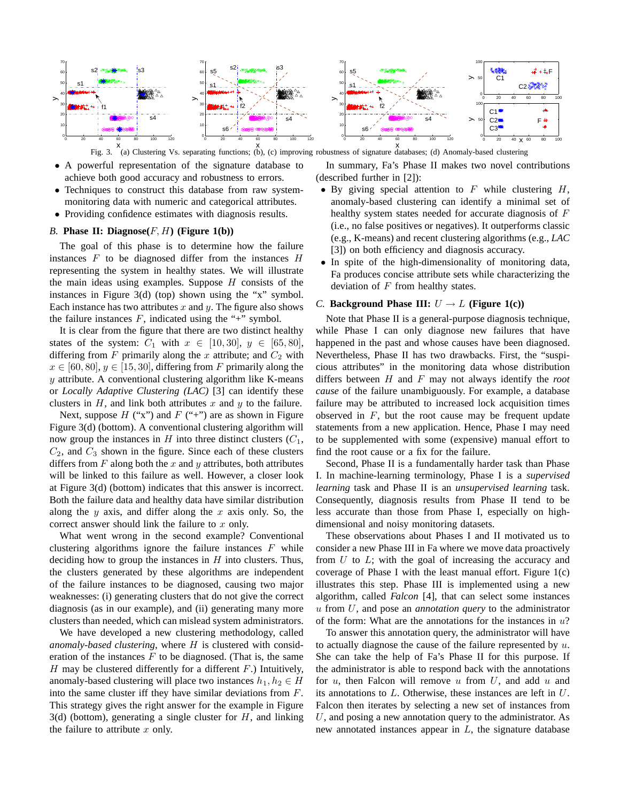

x x Fig. 3. (a) Clustering Vs. separating functions; (b), (c) improving robustness of signature databases; (d) Anomaly-based clustering

- A powerful representation of the signature database to achieve both good accuracy and robustness to errors.
- Techniques to construct this database from raw systemmonitoring data with numeric and categorical attributes.
- Providing confidence estimates with diagnosis results.

## *B.* **Phase II: Diagnose** $(F, H)$  **(Figure 1(b))**

The goal of this phase is to determine how the failure instances  $F$  to be diagnosed differ from the instances  $H$ representing the system in healthy states. We will illustrate the main ideas using examples. Suppose  $H$  consists of the instances in Figure 3(d) (top) shown using the "x" symbol. Each instance has two attributes  $x$  and  $y$ . The figure also shows the failure instances  $F$ , indicated using the "+" symbol.

It is clear from the figure that there are two distinct healthy states of the system:  $C_1$  with  $x \in [10, 30], y \in [65, 80],$ differing from F primarily along the x attribute; and  $C_2$  with  $x \in [60, 80], y \in [15, 30],$  differing from F primarily along the  $y$  attribute. A conventional clustering algorithm like K-means or *Locally Adaptive Clustering (LAC)* [3] can identify these clusters in  $H$ , and link both attributes x and  $y$  to the failure.

Next, suppose  $H$  ("x") and  $F$  ("+") are as shown in Figure Figure 3(d) (bottom). A conventional clustering algorithm will now group the instances in  $H$  into three distinct clusters  $(C_1,$  $C_2$ , and  $C_3$  shown in the figure. Since each of these clusters differs from  $F$  along both the  $x$  and  $y$  attributes, both attributes will be linked to this failure as well. However, a closer look at Figure 3(d) (bottom) indicates that this answer is incorrect. Both the failure data and healthy data have similar distribution along the  $y$  axis, and differ along the  $x$  axis only. So, the correct answer should link the failure to  $x$  only.

What went wrong in the second example? Conventional clustering algorithms ignore the failure instances  $F$  while deciding how to group the instances in  $H$  into clusters. Thus, the clusters generated by these algorithms are independent of the failure instances to be diagnosed, causing two major weaknesses: (i) generating clusters that do not give the correct diagnosis (as in our example), and (ii) generating many more clusters than needed, which can mislead system administrators.

We have developed a new clustering methodology, called *anomaly-based clustering*, where H is clustered with consideration of the instances  $F$  to be diagnosed. (That is, the same  $H$  may be clustered differently for a different  $F$ .) Intuitively, anomaly-based clustering will place two instances  $h_1, h_2 \in H$ into the same cluster iff they have similar deviations from  $F$ . This strategy gives the right answer for the example in Figure  $3(d)$  (bottom), generating a single cluster for H, and linking the failure to attribute  $x$  only.

In summary, Fa's Phase II makes two novel contributions (described further in [2]):

- By giving special attention to  $F$  while clustering  $H$ , anomaly-based clustering can identify a minimal set of healthy system states needed for accurate diagnosis of F (i.e., no false positives or negatives). It outperforms classic (e.g., K-means) and recent clustering algorithms (e.g., *LAC* [3]) on both efficiency and diagnosis accuracy.
- In spite of the high-dimensionality of monitoring data, Fa produces concise attribute sets while characterizing the deviation of  $F$  from healthy states.

## *C.* **Background Phase III:**  $U \rightarrow L$  (Figure 1(c))

Note that Phase II is a general-purpose diagnosis technique, while Phase I can only diagnose new failures that have happened in the past and whose causes have been diagnosed. Nevertheless, Phase II has two drawbacks. First, the "suspicious attributes" in the monitoring data whose distribution differs between H and F may not always identify the *root cause* of the failure unambiguously. For example, a database failure may be attributed to increased lock acquisition times observed in  $F$ , but the root cause may be frequent update statements from a new application. Hence, Phase I may need to be supplemented with some (expensive) manual effort to find the root cause or a fix for the failure.

Second, Phase II is a fundamentally harder task than Phase I. In machine-learning terminology, Phase I is a *supervised learning* task and Phase II is an *unsupervised learning* task. Consequently, diagnosis results from Phase II tend to be less accurate than those from Phase I, especially on highdimensional and noisy monitoring datasets.

These observations about Phases I and II motivated us to consider a new Phase III in Fa where we move data proactively from  $U$  to  $L$ ; with the goal of increasing the accuracy and coverage of Phase I with the least manual effort. Figure 1(c) illustrates this step. Phase III is implemented using a new algorithm, called *Falcon* [4], that can select some instances u from U, and pose an *annotation query* to the administrator of the form: What are the annotations for the instances in  $u$ ?

To answer this annotation query, the administrator will have to actually diagnose the cause of the failure represented by  $u$ . She can take the help of Fa's Phase II for this purpose. If the administrator is able to respond back with the annotations for  $u$ , then Falcon will remove  $u$  from  $U$ , and add  $u$  and its annotations to L. Otherwise, these instances are left in U. Falcon then iterates by selecting a new set of instances from  $U$ , and posing a new annotation query to the administrator. As new annotated instances appear in L, the signature database